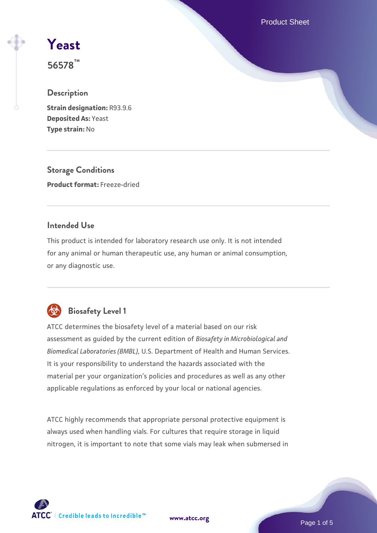Product Sheet

# **[Yeast](https://www.atcc.org/products/56578)**

**56578™**

# **Description**

**Strain designation:** R93.9.6 **Deposited As:** Yeast **Type strain:** No

**Storage Conditions Product format:** Freeze-dried

# **Intended Use**

This product is intended for laboratory research use only. It is not intended for any animal or human therapeutic use, any human or animal consumption, or any diagnostic use.



# **Biosafety Level 1**

ATCC determines the biosafety level of a material based on our risk assessment as guided by the current edition of *Biosafety in Microbiological and Biomedical Laboratories (BMBL)*, U.S. Department of Health and Human Services. It is your responsibility to understand the hazards associated with the material per your organization's policies and procedures as well as any other applicable regulations as enforced by your local or national agencies.

ATCC highly recommends that appropriate personal protective equipment is always used when handling vials. For cultures that require storage in liquid nitrogen, it is important to note that some vials may leak when submersed in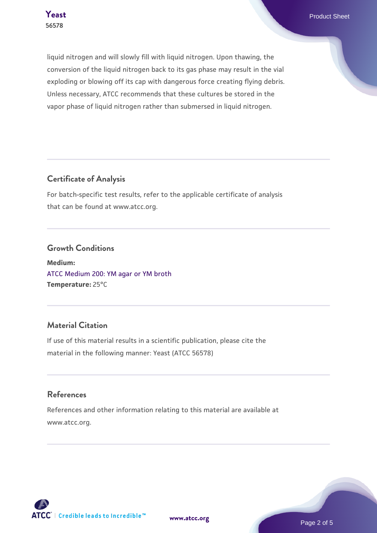**Teast** Product Sheet

liquid nitrogen and will slowly fill with liquid nitrogen. Upon thawing, the conversion of the liquid nitrogen back to its gas phase may result in the vial exploding or blowing off its cap with dangerous force creating flying debris. Unless necessary, ATCC recommends that these cultures be stored in the vapor phase of liquid nitrogen rather than submersed in liquid nitrogen.

#### **Certificate of Analysis**

For batch-specific test results, refer to the applicable certificate of analysis that can be found at www.atcc.org.

#### **Growth Conditions**

**Medium:**  [ATCC Medium 200: YM agar or YM broth](https://www.atcc.org/-/media/product-assets/documents/microbial-media-formulations/2/0/0/atcc-medium-200.pdf?rev=ac40fd74dc13433a809367b0b9da30fc) **Temperature:** 25°C

# **Material Citation**

If use of this material results in a scientific publication, please cite the material in the following manner: Yeast (ATCC 56578)

#### **References**

References and other information relating to this material are available at www.atcc.org.



**[www.atcc.org](http://www.atcc.org)**

Page 2 of 5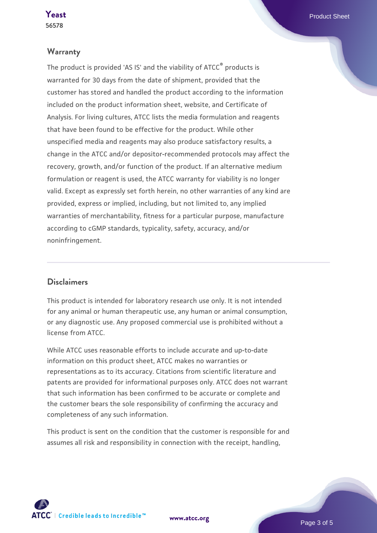#### **Warranty**

The product is provided 'AS IS' and the viability of ATCC® products is warranted for 30 days from the date of shipment, provided that the customer has stored and handled the product according to the information included on the product information sheet, website, and Certificate of Analysis. For living cultures, ATCC lists the media formulation and reagents that have been found to be effective for the product. While other unspecified media and reagents may also produce satisfactory results, a change in the ATCC and/or depositor-recommended protocols may affect the recovery, growth, and/or function of the product. If an alternative medium formulation or reagent is used, the ATCC warranty for viability is no longer valid. Except as expressly set forth herein, no other warranties of any kind are provided, express or implied, including, but not limited to, any implied warranties of merchantability, fitness for a particular purpose, manufacture according to cGMP standards, typicality, safety, accuracy, and/or noninfringement.

#### **Disclaimers**

This product is intended for laboratory research use only. It is not intended for any animal or human therapeutic use, any human or animal consumption, or any diagnostic use. Any proposed commercial use is prohibited without a license from ATCC.

While ATCC uses reasonable efforts to include accurate and up-to-date information on this product sheet, ATCC makes no warranties or representations as to its accuracy. Citations from scientific literature and patents are provided for informational purposes only. ATCC does not warrant that such information has been confirmed to be accurate or complete and the customer bears the sole responsibility of confirming the accuracy and completeness of any such information.

This product is sent on the condition that the customer is responsible for and assumes all risk and responsibility in connection with the receipt, handling,

**[www.atcc.org](http://www.atcc.org)**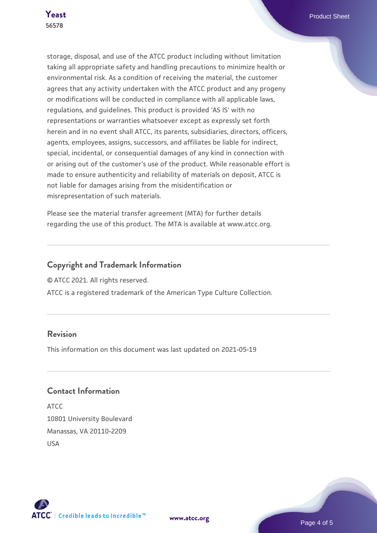storage, disposal, and use of the ATCC product including without limitation taking all appropriate safety and handling precautions to minimize health or environmental risk. As a condition of receiving the material, the customer agrees that any activity undertaken with the ATCC product and any progeny or modifications will be conducted in compliance with all applicable laws, regulations, and guidelines. This product is provided 'AS IS' with no representations or warranties whatsoever except as expressly set forth herein and in no event shall ATCC, its parents, subsidiaries, directors, officers, agents, employees, assigns, successors, and affiliates be liable for indirect, special, incidental, or consequential damages of any kind in connection with or arising out of the customer's use of the product. While reasonable effort is made to ensure authenticity and reliability of materials on deposit, ATCC is not liable for damages arising from the misidentification or misrepresentation of such materials.

Please see the material transfer agreement (MTA) for further details regarding the use of this product. The MTA is available at www.atcc.org.

# **Copyright and Trademark Information**

© ATCC 2021. All rights reserved.

ATCC is a registered trademark of the American Type Culture Collection.

# **Revision**

This information on this document was last updated on 2021-05-19

# **Contact Information**

ATCC 10801 University Boulevard Manassas, VA 20110-2209 USA